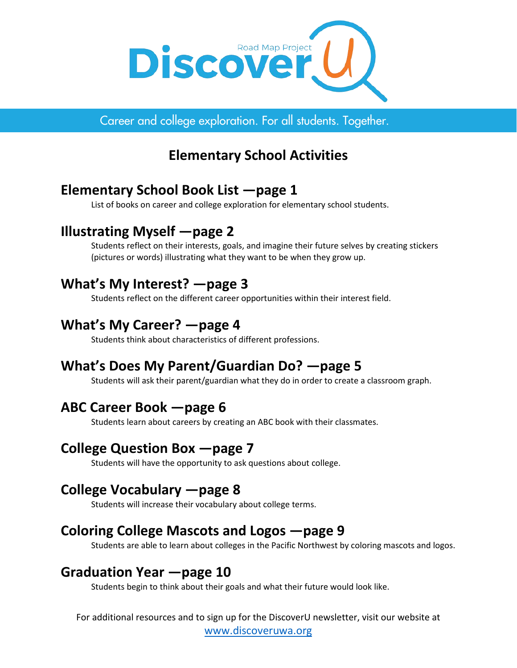

Career and college exploration. For all students. Together.

# **Elementary School Activities**

## **Elementary School Book List —page 1**

List of books on career and college exploration for elementary school students.

## **Illustrating Myself —page 2**

Students reflect on their interests, goals, and imagine their future selves by creating stickers (pictures or words) illustrating what they want to be when they grow up.

## **What's My Interest? —page 3**

Students reflect on the different career opportunities within their interest field.

## **What's My Career? —page 4**

Students think about characteristics of different professions.

# **What's Does My Parent/Guardian Do? —page 5**

Students will ask their parent/guardian what they do in order to create a classroom graph.

## **ABC Career Book —page 6**

Students learn about careers by creating an ABC book with their classmates.

## **College Question Box —page 7**

Students will have the opportunity to ask questions about college.

## **College Vocabulary —page 8**

Students will increase their vocabulary about college terms.

## **Coloring College Mascots and Logos —page 9**

Students are able to learn about colleges in the Pacific Northwest by coloring mascots and logos.

## **Graduation Year —page 10**

Students begin to think about their goals and what their future would look like.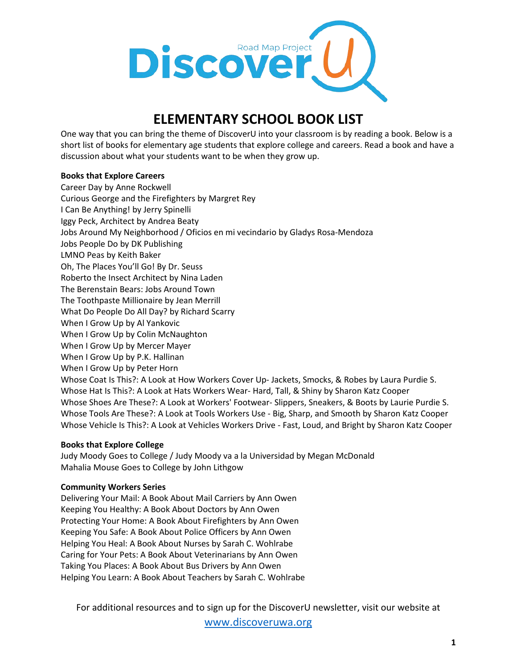

## **ELEMENTARY SCHOOL BOOK LIST**

One way that you can bring the theme of DiscoverU into your classroom is by reading a book. Below is a short list of books for elementary age students that explore college and careers. Read a book and have a discussion about what your students want to be when they grow up.

## **Books that Explore Careers**

Career Day by Anne Rockwell Curious George and the Firefighters by Margret Rey I Can Be Anything! by Jerry Spinelli Iggy Peck, Architect by Andrea Beaty Jobs Around My Neighborhood / Oficios en mi vecindario by Gladys Rosa-Mendoza Jobs People Do by DK Publishing LMNO Peas by Keith Baker Oh, The Places You'll Go! By Dr. Seuss Roberto the Insect Architect by Nina Laden The Berenstain Bears: Jobs Around Town The Toothpaste Millionaire by Jean Merrill What Do People Do All Day? by Richard Scarry When I Grow Up by Al Yankovic When I Grow Up by Colin McNaughton When I Grow Up by Mercer Mayer When I Grow Up by P.K. Hallinan When I Grow Up by Peter Horn Whose Coat Is This?: A Look at How Workers Cover Up- Jackets, Smocks, & Robes by Laura Purdie S. Whose Hat Is This?: A Look at Hats Workers Wear- Hard, Tall, & Shiny by Sharon Katz Cooper Whose Shoes Are These?: A Look at Workers' Footwear- Slippers, Sneakers, & Boots by Laurie Purdie S. Whose Tools Are These?: A Look at Tools Workers Use - Big, Sharp, and Smooth by Sharon Katz Cooper Whose Vehicle Is This?: A Look at Vehicles Workers Drive - Fast, Loud, and Bright by Sharon Katz Cooper

#### **Books that Explore College**

Judy Moody Goes to College / Judy Moody va a la Universidad by Megan McDonald Mahalia Mouse Goes to College by John Lithgow

#### **Community Workers Series**

Delivering Your Mail: A Book About Mail Carriers by Ann Owen Keeping You Healthy: A Book About Doctors by Ann Owen Protecting Your Home: A Book About Firefighters by Ann Owen Keeping You Safe: A Book About Police Officers by Ann Owen Helping You Heal: A Book About Nurses by Sarah C. Wohlrabe Caring for Your Pets: A Book About Veterinarians by Ann Owen Taking You Places: A Book About Bus Drivers by Ann Owen Helping You Learn: A Book About Teachers by Sarah C. Wohlrabe

For additional resources and to sign up for the DiscoverU newsletter, visit our website at

[www.discoveruwa.org](http://www.discoveruwa.org/)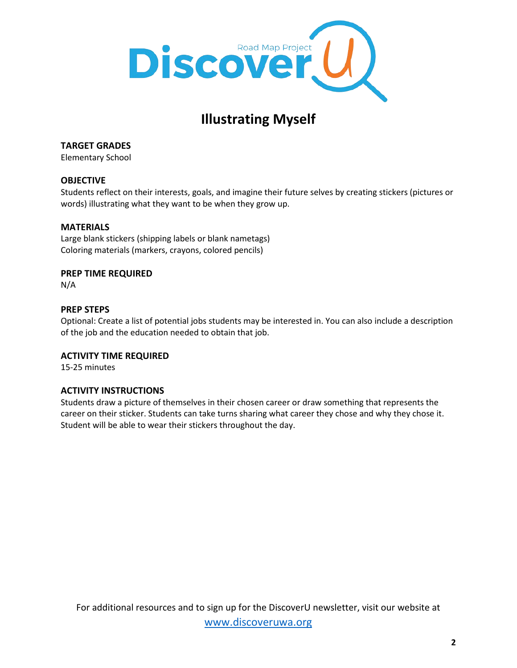

# **Illustrating Myself**

**TARGET GRADES**

Elementary School

## **OBJECTIVE**

Students reflect on their interests, goals, and imagine their future selves by creating stickers (pictures or words) illustrating what they want to be when they grow up.

## **MATERIALS**

Large blank stickers (shipping labels or blank nametags) Coloring materials (markers, crayons, colored pencils)

## **PREP TIME REQUIRED**

N/A

### **PREP STEPS**

Optional: Create a list of potential jobs students may be interested in. You can also include a description of the job and the education needed to obtain that job.

## **ACTIVITY TIME REQUIRED**

15-25 minutes

#### **ACTIVITY INSTRUCTIONS**

Students draw a picture of themselves in their chosen career or draw something that represents the career on their sticker. Students can take turns sharing what career they chose and why they chose it. Student will be able to wear their stickers throughout the day.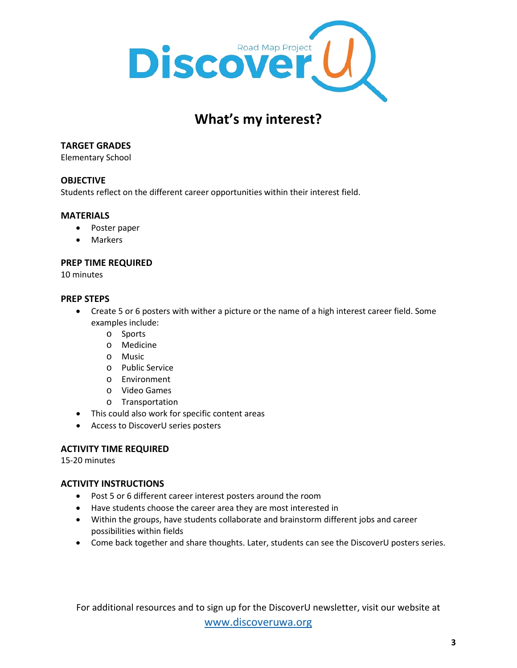

## **What's my interest?**

## **TARGET GRADES**

Elementary School

## **OBJECTIVE**

Students reflect on the different career opportunities within their interest field.

## **MATERIALS**

- Poster paper
- Markers

### **PREP TIME REQUIRED**

10 minutes

### **PREP STEPS**

- Create 5 or 6 posters with wither a picture or the name of a high interest career field. Some examples include:
	- o Sports
	- o Medicine
	- o Music
	- o Public Service
	- o Environment
	- o Video Games
	- o Transportation
- This could also work for specific content areas
- Access to DiscoverU series posters

## **ACTIVITY TIME REQUIRED**

15-20 minutes

## **ACTIVITY INSTRUCTIONS**

- Post 5 or 6 different career interest posters around the room
- Have students choose the career area they are most interested in
- Within the groups, have students collaborate and brainstorm different jobs and career possibilities within fields
- Come back together and share thoughts. Later, students can see the DiscoverU posters series.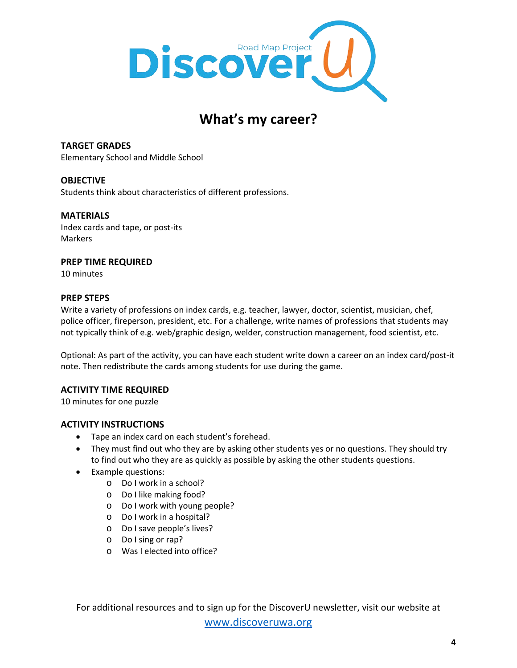

## **What's my career?**

**TARGET GRADES** Elementary School and Middle School

## **OBJECTIVE**

Students think about characteristics of different professions.

### **MATERIALS**

Index cards and tape, or post-its Markers

## **PREP TIME REQUIRED**

10 minutes

#### **PREP STEPS**

Write a variety of professions on index cards, e.g. teacher, lawyer, doctor, scientist, musician, chef, police officer, fireperson, president, etc. For a challenge, write names of professions that students may not typically think of e.g. web/graphic design, welder, construction management, food scientist, etc.

Optional: As part of the activity, you can have each student write down a career on an index card/post-it note. Then redistribute the cards among students for use during the game.

## **ACTIVITY TIME REQUIRED**

10 minutes for one puzzle

#### **ACTIVITY INSTRUCTIONS**

- Tape an index card on each student's forehead.
- They must find out who they are by asking other students yes or no questions. They should try to find out who they are as quickly as possible by asking the other students questions.
- Example questions:
	- o Do I work in a school?
	- o Do I like making food?
	- o Do I work with young people?
	- o Do I work in a hospital?
	- o Do I save people's lives?
	- o Do I sing or rap?
	- o Was I elected into office?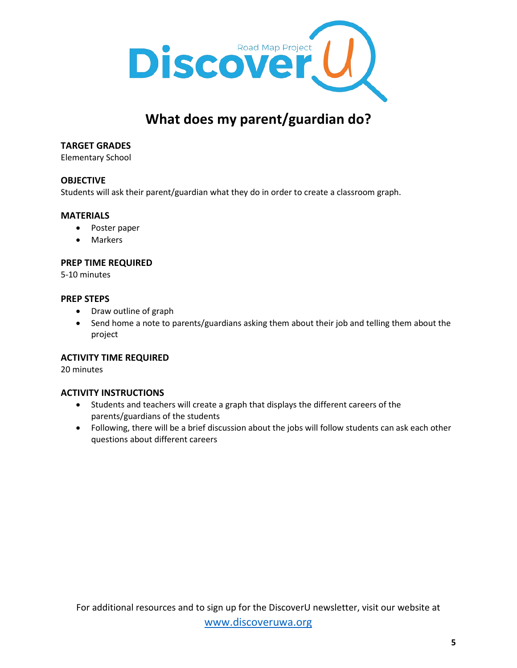

## **What does my parent/guardian do?**

### **TARGET GRADES**

Elementary School

### **OBJECTIVE**

Students will ask their parent/guardian what they do in order to create a classroom graph.

#### **MATERIALS**

- Poster paper
- Markers

#### **PREP TIME REQUIRED**

5-10 minutes

#### **PREP STEPS**

- Draw outline of graph
- Send home a note to parents/guardians asking them about their job and telling them about the project

#### **ACTIVITY TIME REQUIRED**

20 minutes

#### **ACTIVITY INSTRUCTIONS**

- Students and teachers will create a graph that displays the different careers of the parents/guardians of the students
- Following, there will be a brief discussion about the jobs will follow students can ask each other questions about different careers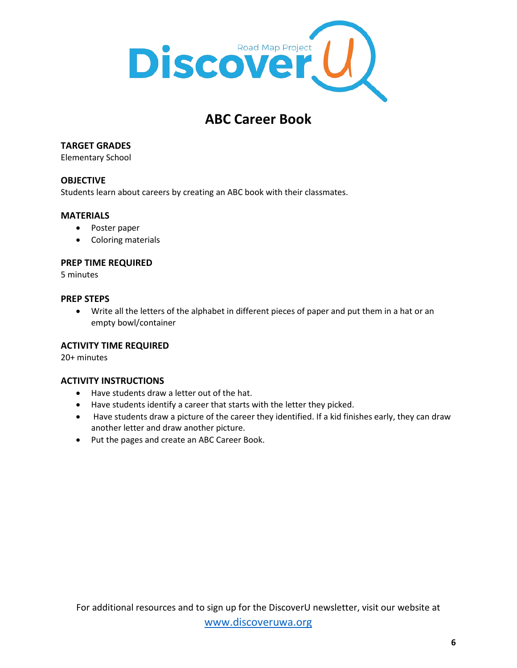

## **ABC Career Book**

## **TARGET GRADES**

Elementary School

## **OBJECTIVE**

Students learn about careers by creating an ABC book with their classmates.

### **MATERIALS**

- Poster paper
- Coloring materials

#### **PREP TIME REQUIRED**

5 minutes

#### **PREP STEPS**

• Write all the letters of the alphabet in different pieces of paper and put them in a hat or an empty bowl/container

## **ACTIVITY TIME REQUIRED**

20+ minutes

## **ACTIVITY INSTRUCTIONS**

- Have students draw a letter out of the hat.
- Have students identify a career that starts with the letter they picked.
- Have students draw a picture of the career they identified. If a kid finishes early, they can draw another letter and draw another picture.
- Put the pages and create an ABC Career Book.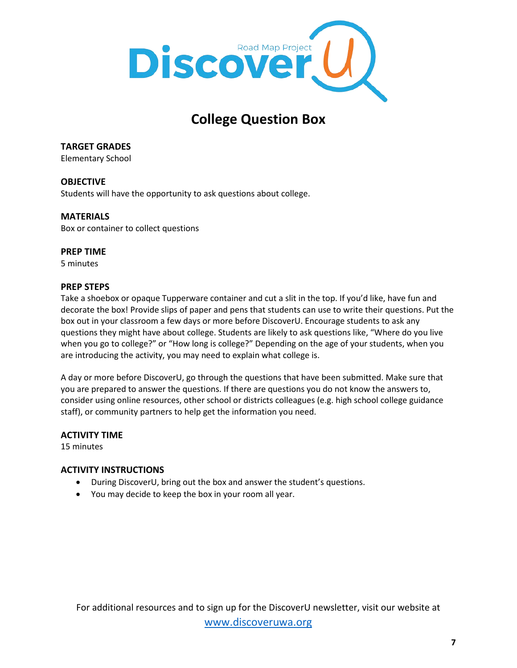

## **College Question Box**

**TARGET GRADES**

Elementary School

## **OBJECTIVE**

Students will have the opportunity to ask questions about college.

## **MATERIALS**

Box or container to collect questions

## **PREP TIME**

5 minutes

## **PREP STEPS**

Take a shoebox or opaque Tupperware container and cut a slit in the top. If you'd like, have fun and decorate the box! Provide slips of paper and pens that students can use to write their questions. Put the box out in your classroom a few days or more before DiscoverU. Encourage students to ask any questions they might have about college. Students are likely to ask questions like, "Where do you live when you go to college?" or "How long is college?" Depending on the age of your students, when you are introducing the activity, you may need to explain what college is.

A day or more before DiscoverU, go through the questions that have been submitted. Make sure that you are prepared to answer the questions. If there are questions you do not know the answers to, consider using online resources, other school or districts colleagues (e.g. high school college guidance staff), or community partners to help get the information you need.

## **ACTIVITY TIME**

15 minutes

## **ACTIVITY INSTRUCTIONS**

- During DiscoverU, bring out the box and answer the student's questions.
- You may decide to keep the box in your room all year.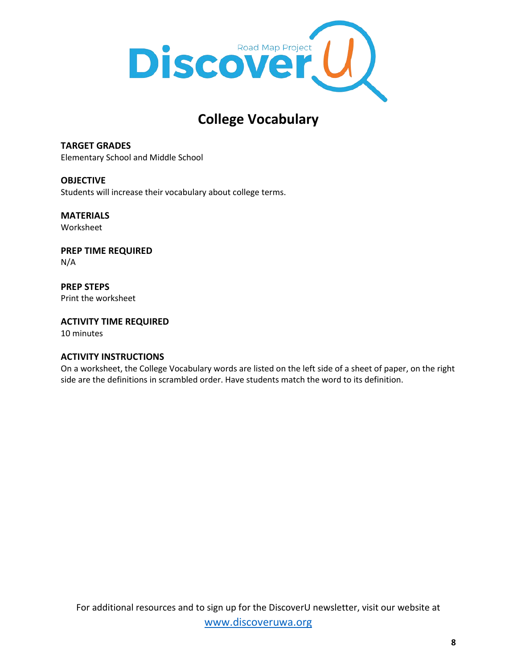

## **College Vocabulary**

**TARGET GRADES** Elementary School and Middle School

**OBJECTIVE** Students will increase their vocabulary about college terms.

**MATERIALS** Worksheet

**PREP TIME REQUIRED** N/A

**PREP STEPS** Print the worksheet

**ACTIVITY TIME REQUIRED**  10 minutes

## **ACTIVITY INSTRUCTIONS**

On a worksheet, the College Vocabulary words are listed on the left side of a sheet of paper, on the right side are the definitions in scrambled order. Have students match the word to its definition.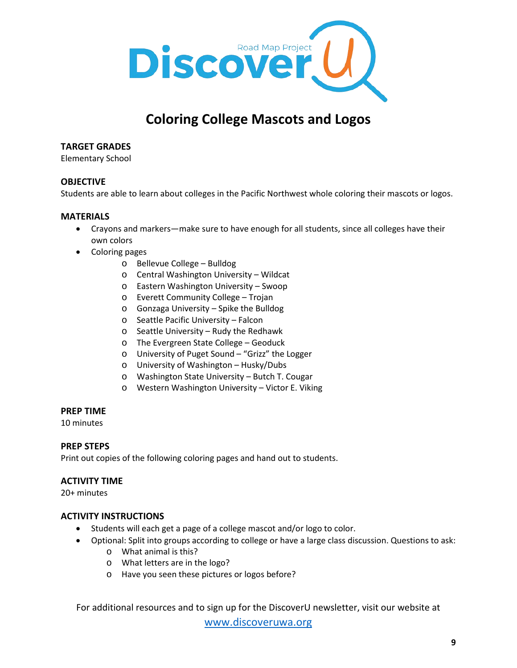

## **Coloring College Mascots and Logos**

## **TARGET GRADES**

Elementary School

### **OBJECTIVE**

Students are able to learn about colleges in the Pacific Northwest whole coloring their mascots or logos.

#### **MATERIALS**

- Crayons and markers—make sure to have enough for all students, since all colleges have their own colors
- Coloring pages
	- o Bellevue College Bulldog
	- o Central Washington University Wildcat
	- o Eastern Washington University Swoop
	- o Everett Community College Trojan
	- o Gonzaga University Spike the Bulldog
	- o Seattle Pacific University Falcon
	- o Seattle University Rudy the Redhawk
	- o The Evergreen State College Geoduck
	- o University of Puget Sound "Grizz" the Logger
	- o University of Washington Husky/Dubs
	- o Washington State University Butch T. Cougar
	- o Western Washington University Victor E. Viking

#### **PREP TIME**

10 minutes

#### **PREP STEPS**

Print out copies of the following coloring pages and hand out to students.

#### **ACTIVITY TIME**

20+ minutes

#### **ACTIVITY INSTRUCTIONS**

- Students will each get a page of a college mascot and/or logo to color.
- Optional: Split into groups according to college or have a large class discussion. Questions to ask:
	- o What animal is this?
	- o What letters are in the logo?
	- o Have you seen these pictures or logos before?